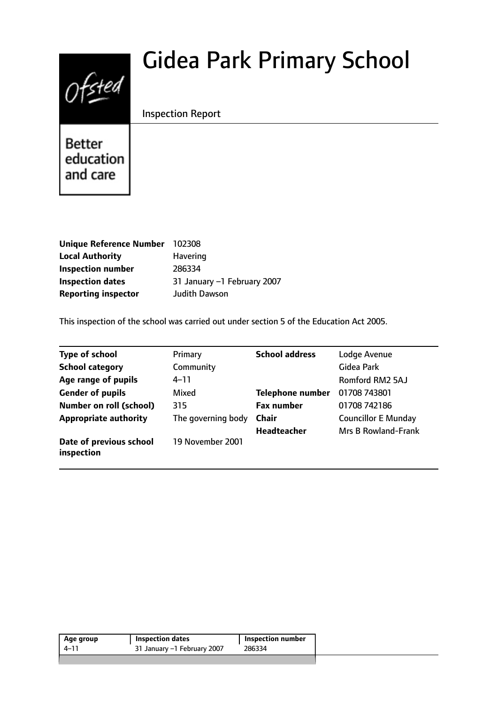# Gidea Park Primary School



Inspection Report

Better education and care

| Unique Reference Number 102308 |                             |
|--------------------------------|-----------------------------|
| <b>Local Authority</b>         | Havering                    |
| <b>Inspection number</b>       | 286334                      |
| <b>Inspection dates</b>        | 31 January -1 February 2007 |
| <b>Reporting inspector</b>     | <b>Judith Dawson</b>        |

This inspection of the school was carried out under section 5 of the Education Act 2005.

| <b>Type of school</b>                 | Primary            | <b>School address</b>   | Lodge Avenue               |
|---------------------------------------|--------------------|-------------------------|----------------------------|
| <b>School category</b>                | Community          |                         | Gidea Park                 |
| Age range of pupils                   | 4–11               |                         | Romford RM2 5AJ            |
| <b>Gender of pupils</b>               | Mixed              | <b>Telephone number</b> | 01708 743801               |
| <b>Number on roll (school)</b>        | 315                | <b>Fax number</b>       | 01708 742186               |
| <b>Appropriate authority</b>          | The governing body | <b>Chair</b>            | <b>Councillor E Munday</b> |
|                                       |                    | <b>Headteacher</b>      | <b>Mrs B Rowland-Frank</b> |
| Date of previous school<br>inspection | 19 November 2001   |                         |                            |

| Age group | hspection dates `           | Inspection number |
|-----------|-----------------------------|-------------------|
| 4-11      | 31 January -1 February 2007 | 286334            |
|           |                             |                   |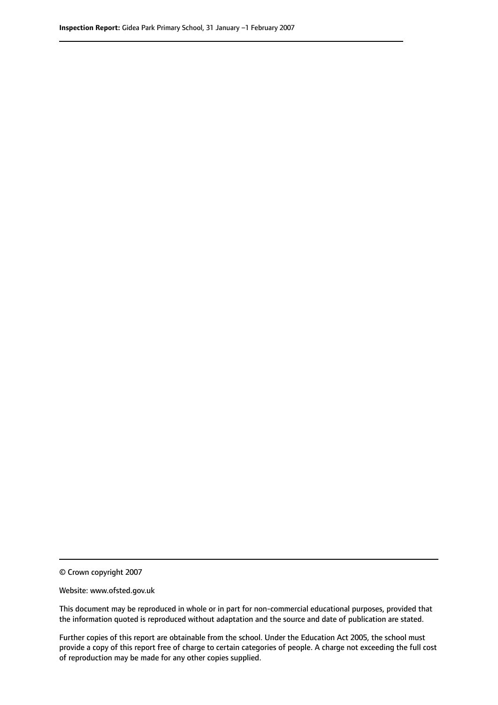© Crown copyright 2007

Website: www.ofsted.gov.uk

This document may be reproduced in whole or in part for non-commercial educational purposes, provided that the information quoted is reproduced without adaptation and the source and date of publication are stated.

Further copies of this report are obtainable from the school. Under the Education Act 2005, the school must provide a copy of this report free of charge to certain categories of people. A charge not exceeding the full cost of reproduction may be made for any other copies supplied.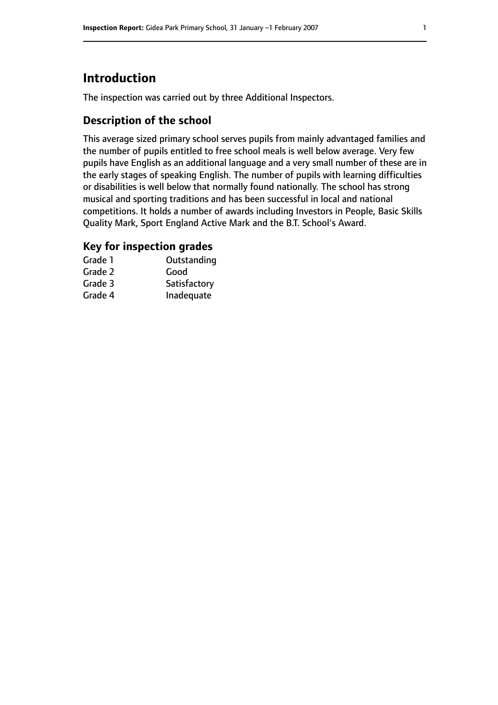# **Introduction**

The inspection was carried out by three Additional Inspectors.

### **Description of the school**

This average sized primary school serves pupils from mainly advantaged families and the number of pupils entitled to free school meals is well below average. Very few pupils have English as an additional language and a very small number of these are in the early stages of speaking English. The number of pupils with learning difficulties or disabilities is well below that normally found nationally. The school has strong musical and sporting traditions and has been successful in local and national competitions. It holds a number of awards including Investors in People, Basic Skills Quality Mark, Sport England Active Mark and the B.T. School's Award.

## **Key for inspection grades**

| Grade 1 | Outstanding  |
|---------|--------------|
| Grade 2 | Good         |
| Grade 3 | Satisfactory |
| Grade 4 | Inadequate   |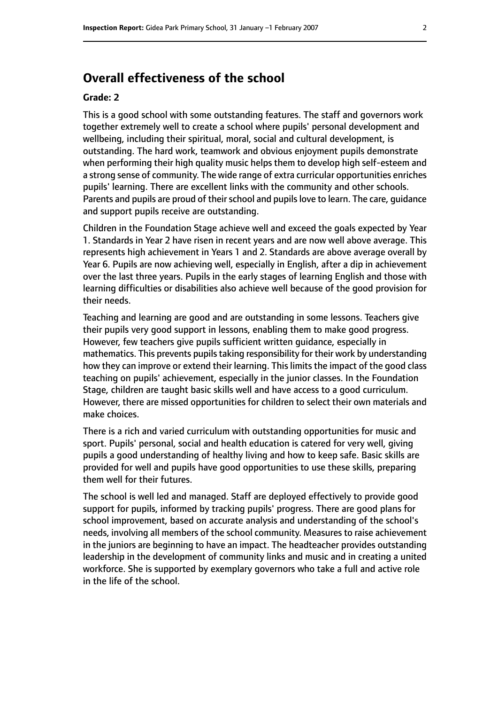# **Overall effectiveness of the school**

#### **Grade: 2**

This is a good school with some outstanding features. The staff and governors work together extremely well to create a school where pupils' personal development and wellbeing, including their spiritual, moral, social and cultural development, is outstanding. The hard work, teamwork and obvious enjoyment pupils demonstrate when performing their high quality music helps them to develop high self-esteem and a strong sense of community. The wide range of extra curricular opportunities enriches pupils' learning. There are excellent links with the community and other schools. Parents and pupils are proud of their school and pupils love to learn. The care, guidance and support pupils receive are outstanding.

Children in the Foundation Stage achieve well and exceed the goals expected by Year 1. Standards in Year 2 have risen in recent years and are now well above average. This represents high achievement in Years 1 and 2. Standards are above average overall by Year 6. Pupils are now achieving well, especially in English, after a dip in achievement over the last three years. Pupils in the early stages of learning English and those with learning difficulties or disabilities also achieve well because of the good provision for their needs.

Teaching and learning are good and are outstanding in some lessons. Teachers give their pupils very good support in lessons, enabling them to make good progress. However, few teachers give pupils sufficient written guidance, especially in mathematics. This prevents pupils taking responsibility for their work by understanding how they can improve or extend their learning. This limits the impact of the good class teaching on pupils' achievement, especially in the junior classes. In the Foundation Stage, children are taught basic skills well and have access to a good curriculum. However, there are missed opportunities for children to select their own materials and make choices.

There is a rich and varied curriculum with outstanding opportunities for music and sport. Pupils' personal, social and health education is catered for very well, giving pupils a good understanding of healthy living and how to keep safe. Basic skills are provided for well and pupils have good opportunities to use these skills, preparing them well for their futures.

The school is well led and managed. Staff are deployed effectively to provide good support for pupils, informed by tracking pupils' progress. There are good plans for school improvement, based on accurate analysis and understanding of the school's needs, involving all members of the school community. Measures to raise achievement in the juniors are beginning to have an impact. The headteacher provides outstanding leadership in the development of community links and music and in creating a united workforce. She is supported by exemplary governors who take a full and active role in the life of the school.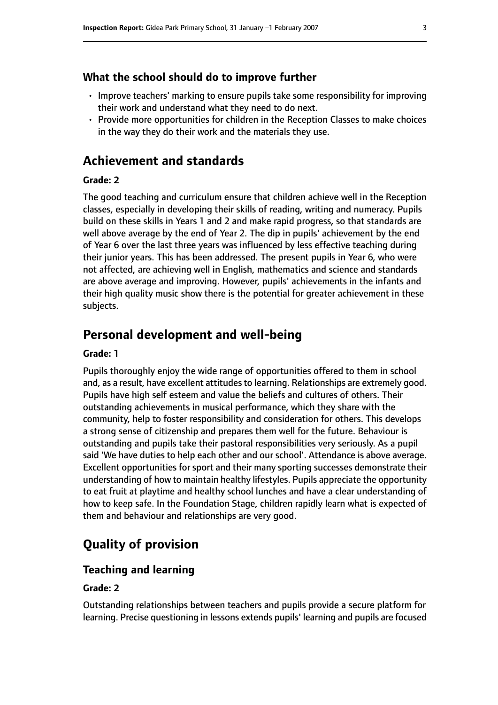#### **What the school should do to improve further**

- Improve teachers' marking to ensure pupils take some responsibility for improving their work and understand what they need to do next.
- Provide more opportunities for children in the Reception Classes to make choices in the way they do their work and the materials they use.

# **Achievement and standards**

#### **Grade: 2**

The good teaching and curriculum ensure that children achieve well in the Reception classes, especially in developing their skills of reading, writing and numeracy. Pupils build on these skills in Years 1 and 2 and make rapid progress, so that standards are well above average by the end of Year 2. The dip in pupils' achievement by the end of Year 6 over the last three years was influenced by less effective teaching during their junior years. This has been addressed. The present pupils in Year 6, who were not affected, are achieving well in English, mathematics and science and standards are above average and improving. However, pupils' achievements in the infants and their high quality music show there is the potential for greater achievement in these subjects.

## **Personal development and well-being**

#### **Grade: 1**

Pupils thoroughly enjoy the wide range of opportunities offered to them in school and, as a result, have excellent attitudes to learning. Relationships are extremely good. Pupils have high self esteem and value the beliefs and cultures of others. Their outstanding achievements in musical performance, which they share with the community, help to foster responsibility and consideration for others. This develops a strong sense of citizenship and prepares them well for the future. Behaviour is outstanding and pupils take their pastoral responsibilities very seriously. As a pupil said 'We have duties to help each other and our school'. Attendance is above average. Excellent opportunities for sport and their many sporting successes demonstrate their understanding of how to maintain healthy lifestyles. Pupils appreciate the opportunity to eat fruit at playtime and healthy school lunches and have a clear understanding of how to keep safe. In the Foundation Stage, children rapidly learn what is expected of them and behaviour and relationships are very good.

# **Quality of provision**

#### **Teaching and learning**

#### **Grade: 2**

Outstanding relationships between teachers and pupils provide a secure platform for learning. Precise questioning in lessons extends pupils' learning and pupils are focused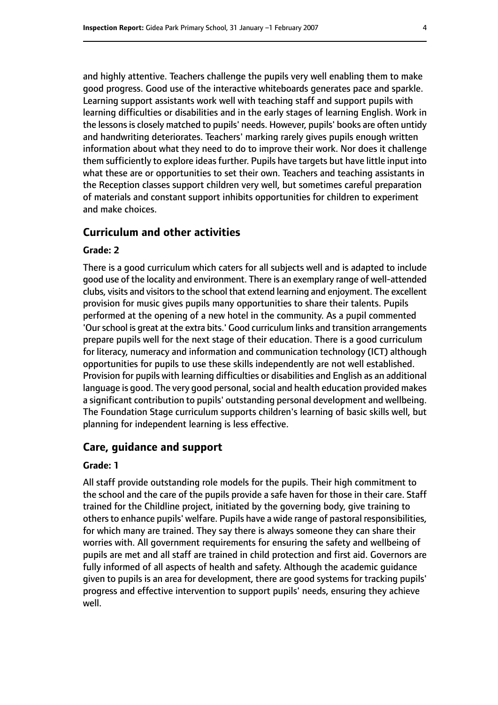and highly attentive. Teachers challenge the pupils very well enabling them to make good progress. Good use of the interactive whiteboards generates pace and sparkle. Learning support assistants work well with teaching staff and support pupils with learning difficulties or disabilities and in the early stages of learning English. Work in the lessons is closely matched to pupils' needs. However, pupils' books are often untidy and handwriting deteriorates. Teachers' marking rarely gives pupils enough written information about what they need to do to improve their work. Nor does it challenge them sufficiently to explore ideas further. Pupils have targets but have little input into what these are or opportunities to set their own. Teachers and teaching assistants in the Reception classes support children very well, but sometimes careful preparation of materials and constant support inhibits opportunities for children to experiment and make choices.

#### **Curriculum and other activities**

#### **Grade: 2**

There is a good curriculum which caters for all subjects well and is adapted to include good use of the locality and environment. There is an exemplary range of well-attended clubs, visits and visitors to the school that extend learning and enjoyment. The excellent provision for music gives pupils many opportunities to share their talents. Pupils performed at the opening of a new hotel in the community. As a pupil commented 'Ourschool is great at the extra bits.' Good curriculum links and transition arrangements prepare pupils well for the next stage of their education. There is a good curriculum for literacy, numeracy and information and communication technology (ICT) although opportunities for pupils to use these skills independently are not well established. Provision for pupils with learning difficulties or disabilities and English as an additional language is good. The very good personal, social and health education provided makes a significant contribution to pupils' outstanding personal development and wellbeing. The Foundation Stage curriculum supports children's learning of basic skills well, but planning for independent learning is less effective.

#### **Care, guidance and support**

#### **Grade: 1**

All staff provide outstanding role models for the pupils. Their high commitment to the school and the care of the pupils provide a safe haven for those in their care. Staff trained for the Childline project, initiated by the governing body, give training to others to enhance pupils' welfare. Pupils have a wide range of pastoral responsibilities, for which many are trained. They say there is always someone they can share their worries with. All government requirements for ensuring the safety and wellbeing of pupils are met and all staff are trained in child protection and first aid. Governors are fully informed of all aspects of health and safety. Although the academic guidance given to pupils is an area for development, there are good systems for tracking pupils' progress and effective intervention to support pupils' needs, ensuring they achieve well.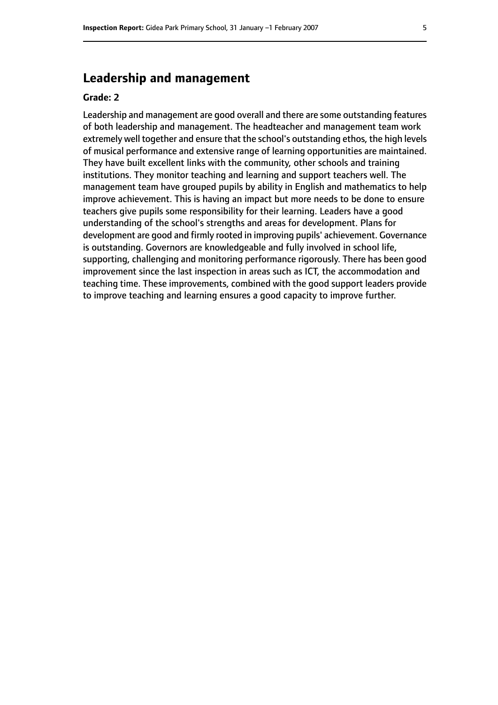# **Leadership and management**

#### **Grade: 2**

Leadership and management are good overall and there are some outstanding features of both leadership and management. The headteacher and management team work extremely well together and ensure that the school's outstanding ethos, the high levels of musical performance and extensive range of learning opportunities are maintained. They have built excellent links with the community, other schools and training institutions. They monitor teaching and learning and support teachers well. The management team have grouped pupils by ability in English and mathematics to help improve achievement. This is having an impact but more needs to be done to ensure teachers give pupils some responsibility for their learning. Leaders have a good understanding of the school's strengths and areas for development. Plans for development are good and firmly rooted in improving pupils' achievement. Governance is outstanding. Governors are knowledgeable and fully involved in school life, supporting, challenging and monitoring performance rigorously. There has been good improvement since the last inspection in areas such as ICT, the accommodation and teaching time. These improvements, combined with the good support leaders provide to improve teaching and learning ensures a good capacity to improve further.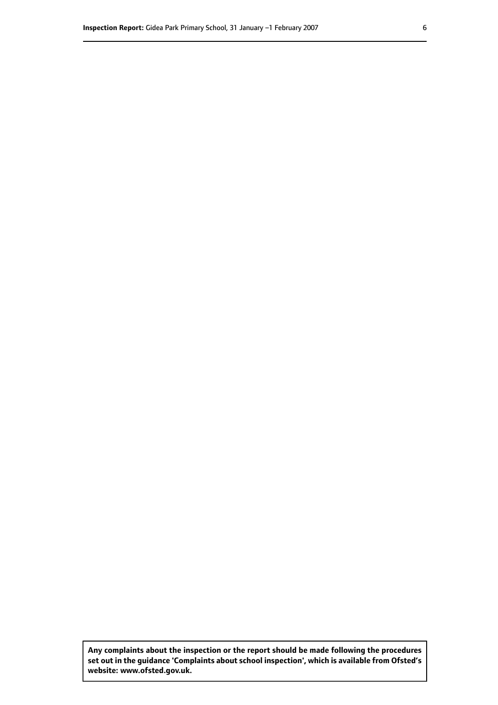**Any complaints about the inspection or the report should be made following the procedures set out inthe guidance 'Complaints about school inspection', whichis available from Ofsted's website: www.ofsted.gov.uk.**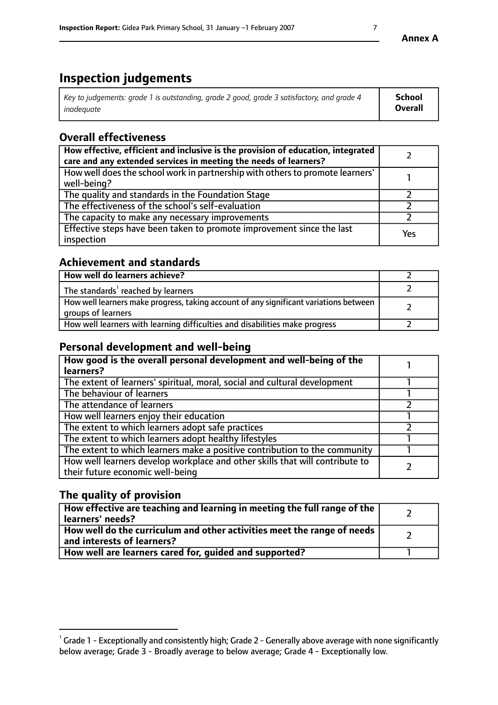# **Inspection judgements**

| Key to judgements: grade 1 is outstanding, grade 2 good, grade 3 satisfactory, and grade 4 | <b>School</b>  |
|--------------------------------------------------------------------------------------------|----------------|
| inadeauate                                                                                 | <b>Overall</b> |

# **Overall effectiveness**

| How effective, efficient and inclusive is the provision of education, integrated<br>care and any extended services in meeting the needs of learners? |     |
|------------------------------------------------------------------------------------------------------------------------------------------------------|-----|
| How well does the school work in partnership with others to promote learners'<br>well-being?                                                         |     |
| The quality and standards in the Foundation Stage                                                                                                    |     |
| The effectiveness of the school's self-evaluation                                                                                                    |     |
| The capacity to make any necessary improvements                                                                                                      |     |
| Effective steps have been taken to promote improvement since the last<br>inspection                                                                  | Yes |

## **Achievement and standards**

| How well do learners achieve?                                                                               |  |
|-------------------------------------------------------------------------------------------------------------|--|
| The standards <sup>1</sup> reached by learners                                                              |  |
| How well learners make progress, taking account of any significant variations between<br>groups of learners |  |
| How well learners with learning difficulties and disabilities make progress                                 |  |

## **Personal development and well-being**

| How good is the overall personal development and well-being of the<br>learners?                                  |  |
|------------------------------------------------------------------------------------------------------------------|--|
| The extent of learners' spiritual, moral, social and cultural development                                        |  |
| The behaviour of learners                                                                                        |  |
| The attendance of learners                                                                                       |  |
| How well learners enjoy their education                                                                          |  |
| The extent to which learners adopt safe practices                                                                |  |
| The extent to which learners adopt healthy lifestyles                                                            |  |
| The extent to which learners make a positive contribution to the community                                       |  |
| How well learners develop workplace and other skills that will contribute to<br>their future economic well-being |  |

# **The quality of provision**

| How effective are teaching and learning in meeting the full range of the<br>learners' needs?          |  |
|-------------------------------------------------------------------------------------------------------|--|
| How well do the curriculum and other activities meet the range of needs<br>and interests of learners? |  |
| How well are learners cared for, guided and supported?                                                |  |

 $^1$  Grade 1 - Exceptionally and consistently high; Grade 2 - Generally above average with none significantly below average; Grade 3 - Broadly average to below average; Grade 4 - Exceptionally low.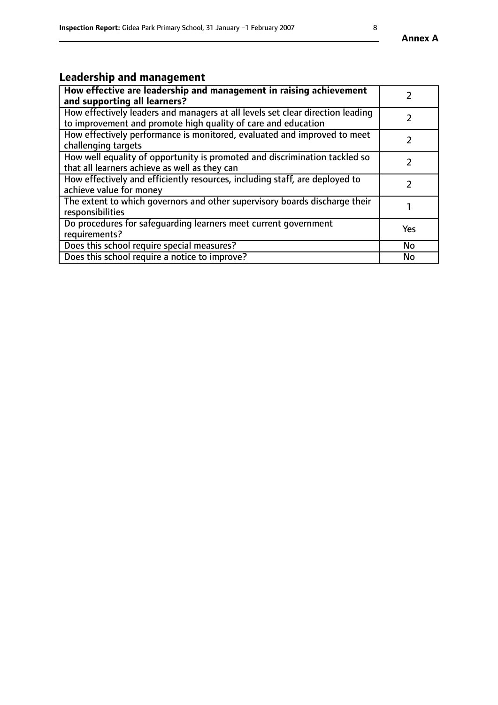# **Leadership and management**

| How effective are leadership and management in raising achievement<br>and supporting all learners?                                              |               |
|-------------------------------------------------------------------------------------------------------------------------------------------------|---------------|
| How effectively leaders and managers at all levels set clear direction leading<br>to improvement and promote high quality of care and education |               |
| How effectively performance is monitored, evaluated and improved to meet<br>challenging targets                                                 |               |
| How well equality of opportunity is promoted and discrimination tackled so<br>that all learners achieve as well as they can                     |               |
| How effectively and efficiently resources, including staff, are deployed to<br>achieve value for money                                          | $\mathcal{P}$ |
| The extent to which governors and other supervisory boards discharge their<br>responsibilities                                                  |               |
| Do procedures for safequarding learners meet current government<br>requirements?                                                                | Yes           |
| Does this school require special measures?                                                                                                      | No            |
| Does this school require a notice to improve?                                                                                                   | <b>No</b>     |